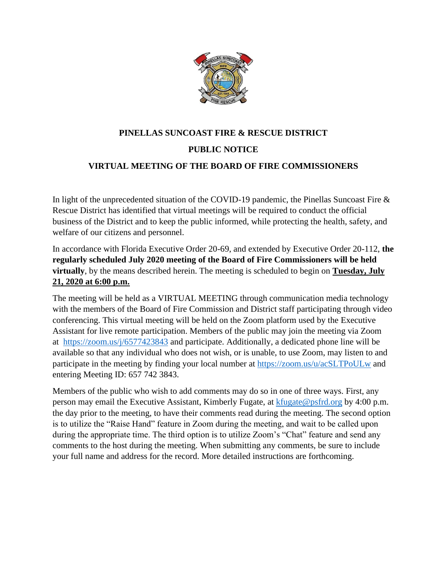

# **PINELLAS SUNCOAST FIRE & RESCUE DISTRICT PUBLIC NOTICE VIRTUAL MEETING OF THE BOARD OF FIRE COMMISSIONERS**

In light of the unprecedented situation of the COVID-19 pandemic, the Pinellas Suncoast Fire & Rescue District has identified that virtual meetings will be required to conduct the official business of the District and to keep the public informed, while protecting the health, safety, and welfare of our citizens and personnel.

In accordance with Florida Executive Order 20-69, and extended by Executive Order 20-112, **the regularly scheduled July 2020 meeting of the Board of Fire Commissioners will be held virtually**, by the means described herein. The meeting is scheduled to begin on **Tuesday, July 21, 2020 at 6:00 p.m.**

The meeting will be held as a VIRTUAL MEETING through communication media technology with the members of the Board of Fire Commission and District staff participating through video conferencing. This virtual meeting will be held on the Zoom platform used by the Executive Assistant for live remote participation. Members of the public may join the meeting via Zoom at <https://zoom.us/j/6577423843> and participate. Additionally, a dedicated phone line will be available so that any individual who does not wish, or is unable, to use Zoom, may listen to and participate in the meeting by finding your local number at<https://zoom.us/u/acSLTPoULw> and entering Meeting ID: 657 742 3843.

Members of the public who wish to add comments may do so in one of three ways. First, any person may email the Executive Assistant, Kimberly Fugate, at [kfugate@psfrd.org](mailto:kfugate@psfrd.org) by 4:00 p.m. the day prior to the meeting, to have their comments read during the meeting. The second option is to utilize the "Raise Hand" feature in Zoom during the meeting, and wait to be called upon during the appropriate time. The third option is to utilize Zoom's "Chat" feature and send any comments to the host during the meeting. When submitting any comments, be sure to include your full name and address for the record. More detailed instructions are forthcoming.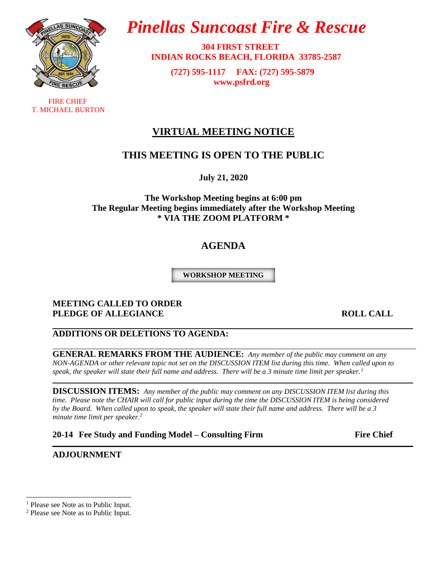

 FIRE CHIEF T. MICHAEL BURTON

# *Pinellas Suncoast Fire & Rescue*

 **304 FIRST STREET INDIAN ROCKS BEACH, FLORIDA 33785-2587**

> **(727) 595-1117 FAX: (727) 595-5879 [www.psfrd.org](http://www.psfrd.org/)**

# **VIRTUAL MEETING NOTICE**

# **THIS MEETING IS OPEN TO THE PUBLIC**

**July 21, 2020**

**The Workshop Meeting begins at 6:00 pm The Regular Meeting begins immediately after the Workshop Meeting \* VIA THE ZOOM PLATFORM \***

# **AGENDA**

**WORKSHOP MEETING**

#### **MEETING CALLED TO ORDER PLEDGE OF ALLEGIANCE** ROLL CALL

# **ADDITIONS OR DELETIONS TO AGENDA:**

**GENERAL REMARKS FROM THE AUDIENCE:** *Any member of the public may comment on any NON-AGENDA or other relevant topic not set on the DISCUSSION ITEM list during this time. When called upon to speak, the speaker will state their full name and address. There will be a 3 minute time limit per speaker.<sup>1</sup>*

**DISCUSSION ITEMS:** *Any member of the public may comment on any DISCUSSION ITEM list during this time. Please note the CHAIR will call for public input during the time the DISCUSSION ITEM is being considered by the Board. When called upon to speak, the speaker will state their full name and address. There will be a 3 minute time limit per speaker.<sup>2</sup>*

**20-14 Fee Study and Funding Model – Consulting Firm Fire Chief**

**ADJOURNMENT**

<sup>&</sup>lt;sup>1</sup> Please see Note as to Public Input.

<sup>2</sup> Please see Note as to Public Input.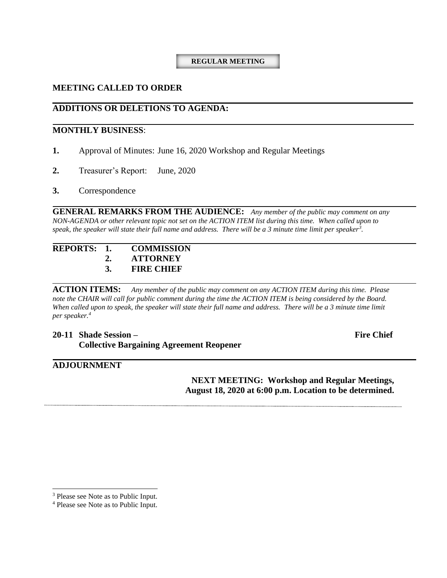#### **REGULAR MEETING**

#### **MEETING CALLED TO ORDER**

#### **ADDITIONS OR DELETIONS TO AGENDA:**

#### **MONTHLY BUSINESS**:

- **1.** Approval of Minutes: June 16, 2020 Workshop and Regular Meetings
- **2.** Treasurer's Report: June, 2020
- **3.** Correspondence

**GENERAL REMARKS FROM THE AUDIENCE:** *Any member of the public may comment on any NON-AGENDA or other relevant topic not set on the ACTION ITEM list during this time. When called upon to speak, the speaker will state their full name and address. There will be a 3 minute time limit per speaker<sup>3</sup> .*

#### **REPORTS: 1. COMMISSION 2. ATTORNEY 3. FIRE CHIEF**

**ACTION ITEMS:** *Any member of the public may comment on any ACTION ITEM during this time. Please*  note the CHAIR will call for public comment during the time the ACTION ITEM is being considered by the Board. When called upon to speak, the speaker will state their full name and address. There will be a 3 minute time limit *per speaker.<sup>4</sup>*

**20-11 Shade Session – Fire Chief Collective Bargaining Agreement Reopener**

#### **ADJOURNMENT**

**NEXT MEETING: Workshop and Regular Meetings, August 18, 2020 at 6:00 p.m. Location to be determined.**

<sup>&</sup>lt;sup>3</sup> Please see Note as to Public Input.

<sup>4</sup> Please see Note as to Public Input.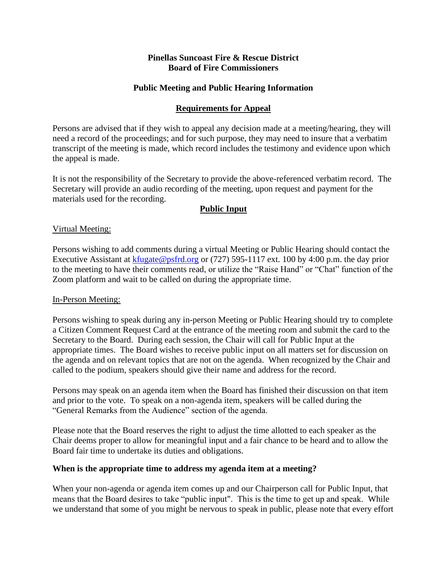#### **Pinellas Suncoast Fire & Rescue District Board of Fire Commissioners**

#### **Public Meeting and Public Hearing Information**

#### **Requirements for Appeal**

Persons are advised that if they wish to appeal any decision made at a meeting/hearing, they will need a record of the proceedings; and for such purpose, they may need to insure that a verbatim transcript of the meeting is made, which record includes the testimony and evidence upon which the appeal is made.

It is not the responsibility of the Secretary to provide the above-referenced verbatim record. The Secretary will provide an audio recording of the meeting, upon request and payment for the materials used for the recording.

# **Public Input**

#### Virtual Meeting:

Persons wishing to add comments during a virtual Meeting or Public Hearing should contact the Executive Assistant at [kfugate@psfrd.org](mailto:kfugate@psfrd.org) or (727) 595-1117 ext. 100 by 4:00 p.m. the day prior to the meeting to have their comments read, or utilize the "Raise Hand" or "Chat" function of the Zoom platform and wait to be called on during the appropriate time.

#### In-Person Meeting:

Persons wishing to speak during any in-person Meeting or Public Hearing should try to complete a Citizen Comment Request Card at the entrance of the meeting room and submit the card to the Secretary to the Board. During each session, the Chair will call for Public Input at the appropriate times. The Board wishes to receive public input on all matters set for discussion on the agenda and on relevant topics that are not on the agenda. When recognized by the Chair and called to the podium, speakers should give their name and address for the record.

Persons may speak on an agenda item when the Board has finished their discussion on that item and prior to the vote. To speak on a non-agenda item, speakers will be called during the "General Remarks from the Audience" section of the agenda.

Please note that the Board reserves the right to adjust the time allotted to each speaker as the Chair deems proper to allow for meaningful input and a fair chance to be heard and to allow the Board fair time to undertake its duties and obligations.

#### **When is the appropriate time to address my agenda item at a meeting?**

When your non-agenda or agenda item comes up and our Chairperson call for Public Input, that means that the Board desires to take "public input". This is the time to get up and speak. While we understand that some of you might be nervous to speak in public, please note that every effort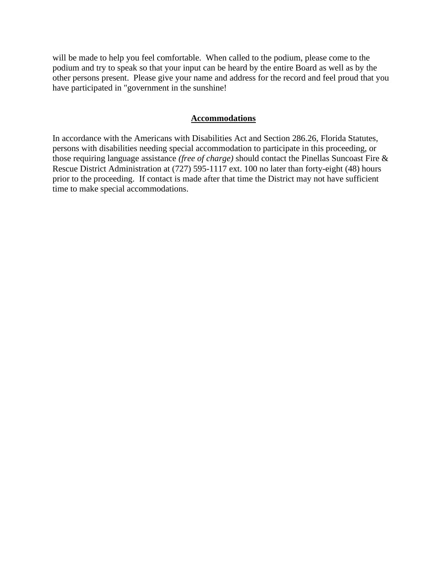will be made to help you feel comfortable. When called to the podium, please come to the podium and try to speak so that your input can be heard by the entire Board as well as by the other persons present. Please give your name and address for the record and feel proud that you have participated in "government in the sunshine!

#### **Accommodations**

In accordance with the Americans with Disabilities Act and Section 286.26, Florida Statutes, persons with disabilities needing special accommodation to participate in this proceeding, or those requiring language assistance *(free of charge)* should contact the Pinellas Suncoast Fire & Rescue District Administration at (727) 595-1117 ext. 100 no later than forty-eight (48) hours prior to the proceeding. If contact is made after that time the District may not have sufficient time to make special accommodations.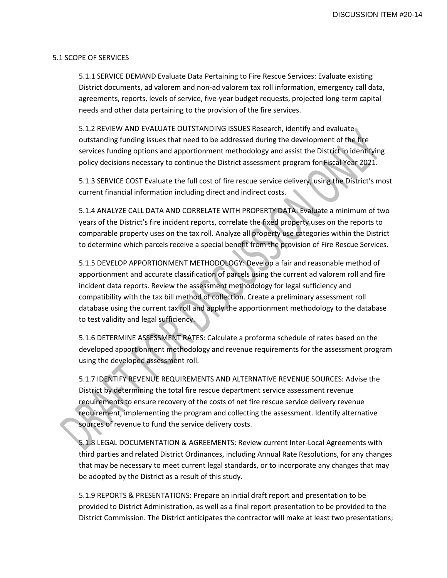#### 5.1 SCOPE OF SERVICES

5.1.1 SERVICE DEMAND Evaluate Data Pertaining to Fire Rescue Services: Evaluate existing District documents, ad valorem and non-ad valorem tax roll information, emergency call data, agreements, reports, levels of service, five‐year budget requests, projected long‐term capital needs and other data pertaining to the provision of the fire services.

5.1.2 REVIEW AND EVALUATE OUTSTANDING ISSUES Research, identify and evaluate outstanding funding issues that need to be addressed during the development of the fire services funding options and apportionment methodology and assist the District in identifying policy decisions necessary to continue the District assessment program for Fiscal Year 2021.

5.1.3 SERVICE COST Evaluate the full cost of fire rescue service delivery, using the District's most current financial information including direct and indirect costs.

5.1.4 ANALYZE CALL DATA AND CORRELATE WITH PROPERTY DATA: Evaluate a minimum of two years of the District's fire incident reports, correlate the fixed property uses on the reports to comparable property uses on the tax roll. Analyze all property use categories within the District to determine which parcels receive a special benefit from the provision of Fire Rescue Services.

5.1.5 DEVELOP APPORTIONMENT METHODOLOGY: Develop a fair and reasonable method of apportionment and accurate classification of parcels using the current ad valorem roll and fire incident data reports. Review the assessment methodology for legal sufficiency and compatibility with the tax bill method of collection. Create a preliminary assessment roll database using the current tax roll and apply the apportionment methodology to the database to test validity and legal sufficiency.

5.1.6 DETERMINE ASSESSMENT RATES: Calculate a proforma schedule of rates based on the developed apportionment methodology and revenue requirements for the assessment program using the developed assessment roll.

5.1.7 IDENTIFY REVENUE REQUIREMENTS AND ALTERNATIVE REVENUE SOURCES: Advise the District by determining the total fire rescue department service assessment revenue requirements to ensure recovery of the costs of net fire rescue service delivery revenue requirement, implementing the program and collecting the assessment. Identify alternative sources of revenue to fund the service delivery costs.

5.1.8 LEGAL DOCUMENTATION & AGREEMENTS: Review current Inter-Local Agreements with third parties and related District Ordinances, including Annual Rate Resolutions, for any changes that may be necessary to meet current legal standards, or to incorporate any changes that may be adopted by the District as a result of this study.

5.1.9 REPORTS & PRESENTATIONS: Prepare an initial draft report and presentation to be provided to District Administration, as well as a final report presentation to be provided to the District Commission. The District anticipates the contractor will make at least two presentations;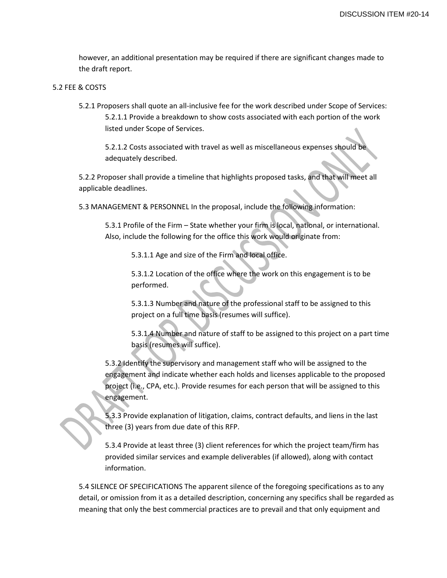however, an additional presentation may be required if there are significant changes made to the draft report.

#### 5.2 FEE & COSTS

5.2.1 Proposers shall quote an all-inclusive fee for the work described under Scope of Services: 5.2.1.1 Provide a breakdown to show costs associated with each portion of the work listed under Scope of Services.

5.2.1.2 Costs associated with travel as well as miscellaneous expenses should be adequately described.

5.2.2 Proposer shall provide a timeline that highlights proposed tasks, and that will meet all applicable deadlines.

5.3 MANAGEMENT & PERSONNEL In the proposal, include the following information:

5.3.1 Profile of the Firm – State whether your firm is local, national, or international. Also, include the following for the office this work would originate from:

5.3.1.1 Age and size of the Firm and local office.

5.3.1.2 Location of the office where the work on this engagement is to be performed.

5.3.1.3 Number and nature of the professional staff to be assigned to this project on a full time basis (resumes will suffice).

5.3.1.4 Number and nature of staff to be assigned to this project on a part time basis (resumes will suffice).

5.3.2 Identify the supervisory and management staff who will be assigned to the engagement and indicate whether each holds and licenses applicable to the proposed project (i.e., CPA, etc.). Provide resumes for each person that will be assigned to this engagement.

5.3.3 Provide explanation of litigation, claims, contract defaults, and liens in the last three (3) years from due date of this RFP.

5.3.4 Provide at least three (3) client references for which the project team/firm has provided similar services and example deliverables (if allowed), along with contact information.

5.4 SILENCE OF SPECIFICATIONS The apparent silence of the foregoing specifications as to any detail, or omission from it as a detailed description, concerning any specifics shall be regarded as meaning that only the best commercial practices are to prevail and that only equipment and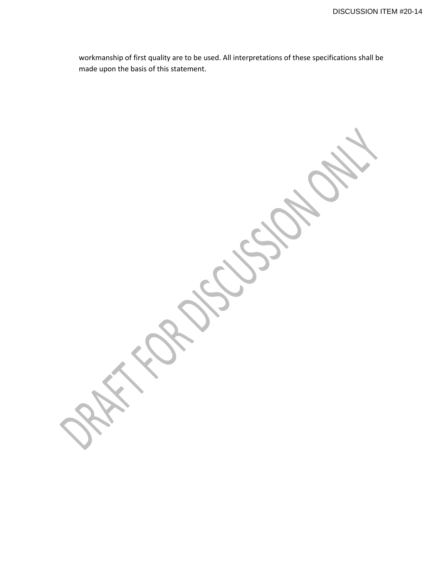workmanship of first quality are to be used. All interpretations of these specifications shall be made upon the basis of this statement.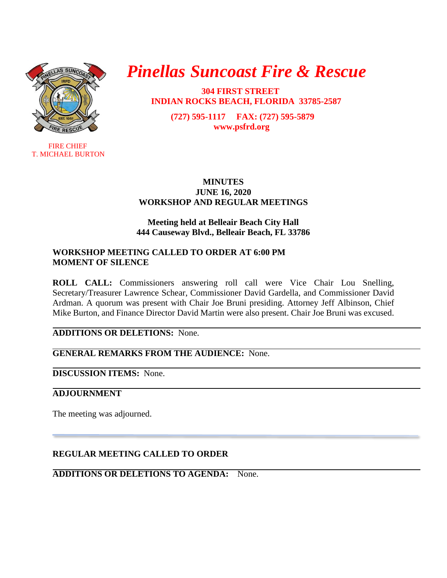

**FIRE CHIEF** T. MICHAEL BURTON

# *Pinellas Suncoast Fire & Rescue*

 **304 FIRST STREET INDIAN ROCKS BEACH, FLORIDA 33785-2587**

> **(727) 595-1117 FAX: (727) 595-5879 [www.psfrd.org](http://www.psfrd.org/)**

#### **MINUTES JUNE 16, 2020 WORKSHOP AND REGULAR MEETINGS**

# **Meeting held at Belleair Beach City Hall 444 Causeway Blvd., Belleair Beach, FL 33786**

### **WORKSHOP MEETING CALLED TO ORDER AT 6:00 PM MOMENT OF SILENCE**

**ROLL CALL:** Commissioners answering roll call were Vice Chair Lou Snelling, Secretary/Treasurer Lawrence Schear, Commissioner David Gardella, and Commissioner David Ardman. A quorum was present with Chair Joe Bruni presiding. Attorney Jeff Albinson, Chief Mike Burton, and Finance Director David Martin were also present. Chair Joe Bruni was excused.

**ADDITIONS OR DELETIONS:** None.

**GENERAL REMARKS FROM THE AUDIENCE:** None.

**DISCUSSION ITEMS:** None.

# **ADJOURNMENT**

The meeting was adjourned.

# **REGULAR MEETING CALLED TO ORDER**

**ADDITIONS OR DELETIONS TO AGENDA:** None.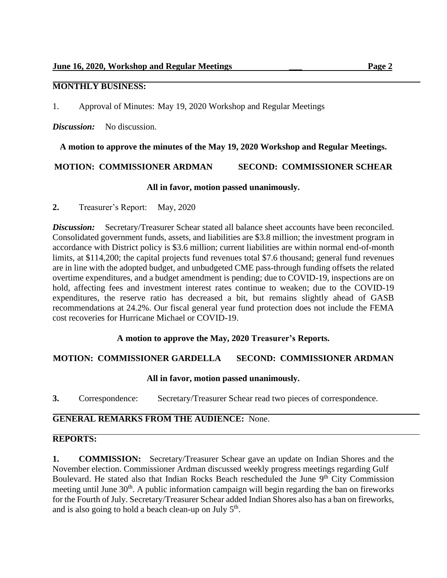# **MONTHLY BUSINESS:**

1. Approval of Minutes: May 19, 2020 Workshop and Regular Meetings

*Discussion:* No discussion.

**A motion to approve the minutes of the May 19, 2020 Workshop and Regular Meetings.**

**MOTION: COMMISSIONER ARDMAN SECOND: COMMISSIONER SCHEAR**

#### **All in favor, motion passed unanimously.**

**2.** Treasurer's Report: May, 2020

**Discussion:** Secretary/Treasurer Schear stated all balance sheet accounts have been reconciled. Consolidated government funds, assets, and liabilities are \$3.8 million; the investment program in accordance with District policy is \$3.6 million; current liabilities are within normal end-of-month limits, at \$114,200; the capital projects fund revenues total \$7.6 thousand; general fund revenues are in line with the adopted budget, and unbudgeted CME pass-through funding offsets the related overtime expenditures, and a budget amendment is pending; due to COVID-19, inspections are on hold, affecting fees and investment interest rates continue to weaken; due to the COVID-19 expenditures, the reserve ratio has decreased a bit, but remains slightly ahead of GASB recommendations at 24.2%. Our fiscal general year fund protection does not include the FEMA cost recoveries for Hurricane Michael or COVID-19.

# **A motion to approve the May, 2020 Treasurer's Reports.**

# **MOTION: COMMISSIONER GARDELLA SECOND: COMMISSIONER ARDMAN**

#### **All in favor, motion passed unanimously.**

**3.** Correspondence: Secretary/Treasurer Schear read two pieces of correspondence.

# **GENERAL REMARKS FROM THE AUDIENCE:** None.

# **REPORTS:**

**1. COMMISSION:** Secretary/Treasurer Schear gave an update on Indian Shores and the November election. Commissioner Ardman discussed weekly progress meetings regarding Gulf Boulevard. He stated also that Indian Rocks Beach rescheduled the June 9<sup>th</sup> City Commission meeting until June 30<sup>th</sup>. A public information campaign will begin regarding the ban on fireworks for the Fourth of July. Secretary/Treasurer Schear added Indian Shores also has a ban on fireworks, and is also going to hold a beach clean-up on July  $5<sup>th</sup>$ .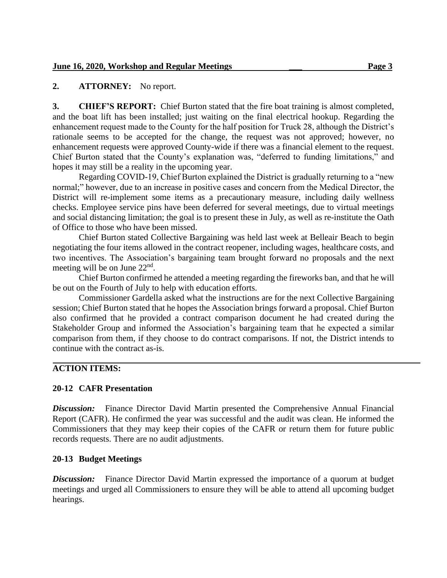# **2. ATTORNEY:** No report.

**3. CHIEF'S REPORT:** Chief Burton stated that the fire boat training is almost completed, and the boat lift has been installed; just waiting on the final electrical hookup. Regarding the enhancement request made to the County for the half position for Truck 28, although the District's rationale seems to be accepted for the change, the request was not approved; however, no enhancement requests were approved County-wide if there was a financial element to the request. Chief Burton stated that the County's explanation was, "deferred to funding limitations," and hopes it may still be a reality in the upcoming year.

Regarding COVID-19, Chief Burton explained the District is gradually returning to a "new normal;" however, due to an increase in positive cases and concern from the Medical Director, the District will re-implement some items as a precautionary measure, including daily wellness checks. Employee service pins have been deferred for several meetings, due to virtual meetings and social distancing limitation; the goal is to present these in July, as well as re-institute the Oath of Office to those who have been missed.

Chief Burton stated Collective Bargaining was held last week at Belleair Beach to begin negotiating the four items allowed in the contract reopener, including wages, healthcare costs, and two incentives. The Association's bargaining team brought forward no proposals and the next meeting will be on June  $22<sup>nd</sup>$ .

Chief Burton confirmed he attended a meeting regarding the fireworks ban, and that he will be out on the Fourth of July to help with education efforts.

Commissioner Gardella asked what the instructions are for the next Collective Bargaining session; Chief Burton stated that he hopes the Association brings forward a proposal. Chief Burton also confirmed that he provided a contract comparison document he had created during the Stakeholder Group and informed the Association's bargaining team that he expected a similar comparison from them, if they choose to do contract comparisons. If not, the District intends to continue with the contract as-is.

# **ACTION ITEMS:**

# **20-12 CAFR Presentation**

**Discussion:** Finance Director David Martin presented the Comprehensive Annual Financial Report (CAFR). He confirmed the year was successful and the audit was clean. He informed the Commissioners that they may keep their copies of the CAFR or return them for future public records requests. There are no audit adjustments.

# **20-13 Budget Meetings**

*Discussion:* Finance Director David Martin expressed the importance of a quorum at budget meetings and urged all Commissioners to ensure they will be able to attend all upcoming budget hearings.